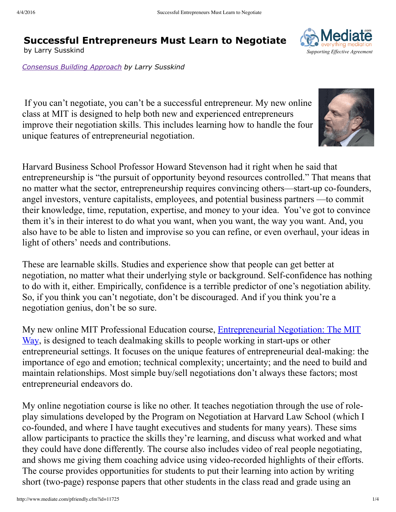# **Successful Entrepreneurs Must Learn to Negotiate**

*Consensus Building Approach by Larry Susskind*





These are learnable skills. Studies and experience show that people can get better at negotiation, no matter what their underlying style or background. Self-confidence has nothing to do with it, either. Empirically, confidence is a terrible predictor of one's negotiation ability. So, if you think you can't negotiate, don't be discouraged. And if you think you're a negotiation genius, don't be so sure.

My new online MIT Professional Education course, Entrepreneurial Negotiation: The MIT Way, is designed to teach dealmaking skills to people working in start-ups or other entrepreneurial settings. It focuses on the unique features of entrepreneurial deal-making: the importance of ego and emotion; technical complexity; uncertainty; and the need to build and maintain relationships. Most simple buy/sell negotiations don't always these factors; most entrepreneurial endeavors do.

My online negotiation course is like no other. It teaches negotiation through the use of roleplay simulations developed by the Program on Negotiation at Harvard Law School (which I co-founded, and where I have taught executives and students for many years). These sims allow participants to practice the skills they're learning, and discuss what worked and what they could have done differently. The course also includes video of real people negotiating, and shows me giving them coaching advice using video-recorded highlights of their efforts. The course provides opportunities for students to put their learning into action by writing short (two-page) response papers that other students in the class read and grade using an

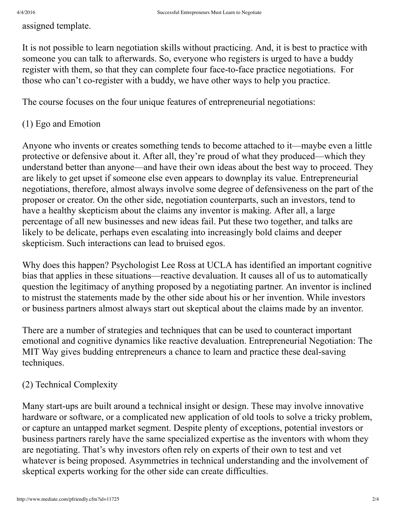assigned template.

It is not possible to learn negotiation skills without practicing. And, it is best to practice with someone you can talk to afterwards. So, everyone who registers is urged to have a buddy register with them, so that they can complete four face-to-face practice negotiations. For those who can't co-register with a buddy, we have other ways to help you practice.

The course focuses on the four unique features of entrepreneurial negotiations:

## (1) Ego and Emotion

Anyone who invents or creates something tends to become attached to it—maybe even a little protective or defensive about it. After all, they're proud of what they produced—which they understand better than anyone—and have their own ideas about the best way to proceed. They are likely to get upset if someone else even appears to downplay its value. Entrepreneurial negotiations, therefore, almost always involve some degree of defensiveness on the part of the proposer or creator. On the other side, negotiation counterparts, such an investors, tend to have a healthy skepticism about the claims any inventor is making. After all, a large percentage of all new businesses and new ideas fail. Put these two together, and talks are likely to be delicate, perhaps even escalating into increasingly bold claims and deeper skepticism. Such interactions can lead to bruised egos.

Why does this happen? Psychologist Lee Ross at UCLA has identified an important cognitive bias that applies in these situations—reactive devaluation. It causes all of us to automatically question the legitimacy of anything proposed by a negotiating partner. An inventor is inclined to mistrust the statements made by the other side about his or her invention. While investors or business partners almost always start out skeptical about the claims made by an inventor.

There are a number of strategies and techniques that can be used to counteract important emotional and cognitive dynamics like reactive devaluation. Entrepreneurial Negotiation: The MIT Way gives budding entrepreneurs a chance to learn and practice these deal-saving techniques.

### (2) Technical Complexity

Many start-ups are built around a technical insight or design. These may involve innovative hardware or software, or a complicated new application of old tools to solve a tricky problem, or capture an untapped market segment. Despite plenty of exceptions, potential investors or business partners rarely have the same specialized expertise as the inventors with whom they are negotiating. That's why investors often rely on experts of their own to test and vet whatever is being proposed. Asymmetries in technical understanding and the involvement of skeptical experts working for the other side can create difficulties.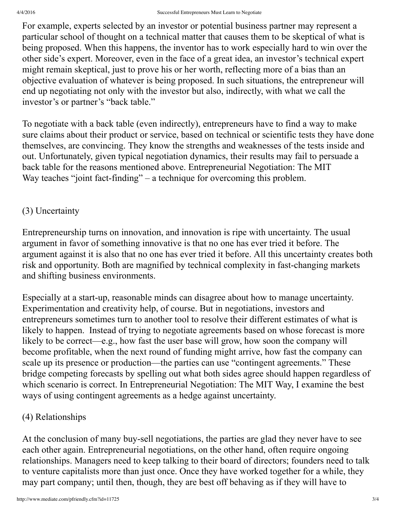For example, experts selected by an investor or potential business partner may represent a particular school of thought on a technical matter that causes them to be skeptical of what is being proposed. When this happens, the inventor has to work especially hard to win over the other side's expert. Moreover, even in the face of a great idea, an investor's technical expert might remain skeptical, just to prove his or her worth, reflecting more of a bias than an objective evaluation of whatever is being proposed. In such situations, the entrepreneur will end up negotiating not only with the investor but also, indirectly, with what we call the investor's or partner's "back table."

To negotiate with a back table (even indirectly), entrepreneurs have to find a way to make sure claims about their product or service, based on technical or scientific tests they have done themselves, are convincing. They know the strengths and weaknesses of the tests inside and out. Unfortunately, given typical negotiation dynamics, their results may fail to persuade a back table for the reasons mentioned above. Entrepreneurial Negotiation: The MIT Way teaches "joint fact-finding" – a technique for overcoming this problem.

### (3) Uncertainty

Entrepreneurship turns on innovation, and innovation is ripe with uncertainty. The usual argument in favor of something innovative is that no one has ever tried it before. The argument against it is also that no one has ever tried it before. All this uncertainty creates both risk and opportunity. Both are magnified by technical complexity in fast-changing markets and shifting business environments.

Especially at a start-up, reasonable minds can disagree about how to manage uncertainty. Experimentation and creativity help, of course. But in negotiations, investors and entrepreneurs sometimes turn to another tool to resolve their different estimates of what is likely to happen. Instead of trying to negotiate agreements based on whose forecast is more likely to be correct—e.g., how fast the user base will grow, how soon the company will become profitable, when the next round of funding might arrive, how fast the company can scale up its presence or production—the parties can use "contingent agreements." These bridge competing forecasts by spelling out what both sides agree should happen regardless of which scenario is correct. In Entrepreneurial Negotiation: The MIT Way, I examine the best ways of using contingent agreements as a hedge against uncertainty.

### (4) Relationships

At the conclusion of many buy-sell negotiations, the parties are glad they never have to see each other again. Entrepreneurial negotiations, on the other hand, often require ongoing relationships. Managers need to keep talking to their board of directors; founders need to talk to venture capitalists more than just once. Once they have worked together for a while, they may part company; until then, though, they are best off behaving as if they will have to